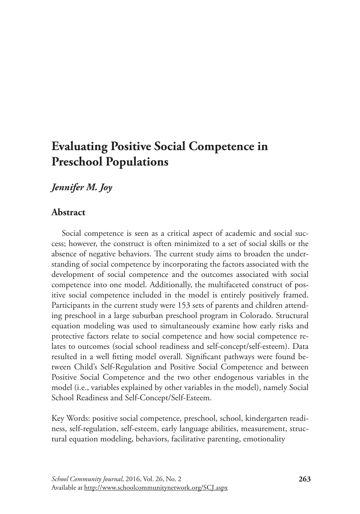# **Evaluating Positive Social Competence in Preschool Populations**

# *Jennifer M. Joy*

# **Abstract**

Social competence is seen as a critical aspect of academic and social success; however, the construct is often minimized to a set of social skills or the absence of negative behaviors. The current study aims to broaden the understanding of social competence by incorporating the factors associated with the development of social competence and the outcomes associated with social competence into one model. Additionally, the multifaceted construct of positive social competence included in the model is entirely positively framed. Participants in the current study were 153 sets of parents and children attending preschool in a large suburban preschool program in Colorado. Structural equation modeling was used to simultaneously examine how early risks and protective factors relate to social competence and how social competence relates to outcomes (social school readiness and self-concept/self-esteem). Data resulted in a well fitting model overall. Significant pathways were found between Child's Self-Regulation and Positive Social Competence and between Positive Social Competence and the two other endogenous variables in the model (i.e., variables explained by other variables in the model), namely Social School Readiness and Self-Concept/Self-Esteem.

Key Words: positive social competence, preschool, school, kindergarten readiness, self-regulation, self-esteem, early language abilities, measurement, structural equation modeling, behaviors, facilitative parenting, emotionality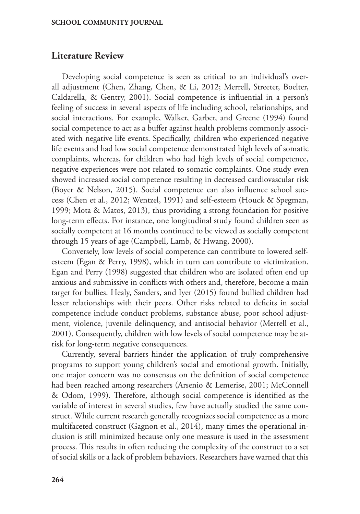### **Literature Review**

Developing social competence is seen as critical to an individual's overall adjustment (Chen, Zhang, Chen, & Li, 2012; Merrell, Streeter, Boelter, Caldarella, & Gentry, 2001). Social competence is influential in a person's feeling of success in several aspects of life including school, relationships, and social interactions. For example, Walker, Garber, and Greene (1994) found social competence to act as a buffer against health problems commonly associated with negative life events. Specifically, children who experienced negative life events and had low social competence demonstrated high levels of somatic complaints, whereas, for children who had high levels of social competence, negative experiences were not related to somatic complaints. One study even showed increased social competence resulting in decreased cardiovascular risk (Boyer & Nelson, 2015). Social competence can also influence school success (Chen et al., 2012; Wentzel, 1991) and self-esteem (Houck & Spegman, 1999; Mota & Matos, 2013), thus providing a strong foundation for positive long-term effects. For instance, one longitudinal study found children seen as socially competent at 16 months continued to be viewed as socially competent through 15 years of age (Campbell, Lamb, & Hwang, 2000).

Conversely, low levels of social competence can contribute to lowered selfesteem (Egan & Perry, 1998), which in turn can contribute to victimization. Egan and Perry (1998) suggested that children who are isolated often end up anxious and submissive in conflicts with others and, therefore, become a main target for bullies. Healy, Sanders, and Iyer (2015) found bullied children had lesser relationships with their peers. Other risks related to deficits in social competence include conduct problems, substance abuse, poor school adjustment, violence, juvenile delinquency, and antisocial behavior (Merrell et al., 2001). Consequently, children with low levels of social competence may be atrisk for long-term negative consequences.

Currently, several barriers hinder the application of truly comprehensive programs to support young children's social and emotional growth. Initially, one major concern was no consensus on the definition of social competence had been reached among researchers (Arsenio & Lemerise, 2001; McConnell & Odom, 1999). Therefore, although social competence is identified as the variable of interest in several studies, few have actually studied the same construct. While current research generally recognizes social competence as a more multifaceted construct (Gagnon et al., 2014), many times the operational inclusion is still minimized because only one measure is used in the assessment process. This results in often reducing the complexity of the construct to a set of social skills or a lack of problem behaviors. Researchers have warned that this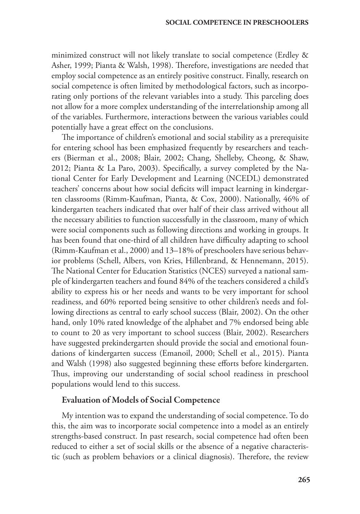minimized construct will not likely translate to social competence (Erdley & Asher, 1999; Pianta & Walsh, 1998). Therefore, investigations are needed that employ social competence as an entirely positive construct. Finally, research on social competence is often limited by methodological factors, such as incorporating only portions of the relevant variables into a study. This parceling does not allow for a more complex understanding of the interrelationship among all of the variables. Furthermore, interactions between the various variables could potentially have a great effect on the conclusions.

The importance of children's emotional and social stability as a prerequisite for entering school has been emphasized frequently by researchers and teachers (Bierman et al., 2008; Blair, 2002; Chang, Shelleby, Cheong, & Shaw, 2012; Pianta & La Paro, 2003). Specifically, a survey completed by the National Center for Early Development and Learning (NCEDL) demonstrated teachers' concerns about how social deficits will impact learning in kindergarten classrooms (Rimm-Kaufman, Pianta, & Cox, 2000). Nationally, 46% of kindergarten teachers indicated that over half of their class arrived without all the necessary abilities to function successfully in the classroom, many of which were social components such as following directions and working in groups. It has been found that one-third of all children have difficulty adapting to school (Rimm-Kaufman et al., 2000) and 13–18% of preschoolers have serious behavior problems (Schell, Albers, von Kries, Hillenbrand, & Hennemann, 2015). The National Center for Education Statistics (NCES) surveyed a national sample of kindergarten teachers and found 84% of the teachers considered a child's ability to express his or her needs and wants to be very important for school readiness, and 60% reported being sensitive to other children's needs and following directions as central to early school success (Blair, 2002). On the other hand, only 10% rated knowledge of the alphabet and 7% endorsed being able to count to 20 as very important to school success (Blair, 2002). Researchers have suggested prekindergarten should provide the social and emotional foundations of kindergarten success (Emanoil, 2000; Schell et al., 2015). Pianta and Walsh (1998) also suggested beginning these efforts before kindergarten. Thus, improving our understanding of social school readiness in preschool populations would lend to this success.

#### Evaluation of Models of Social Competence

My intention was to expand the understanding of social competence. To do this, the aim was to incorporate social competence into a model as an entirely strengths-based construct. In past research, social competence had often been reduced to either a set of social skills or the absence of a negative characteristic (such as problem behaviors or a clinical diagnosis). Therefore, the review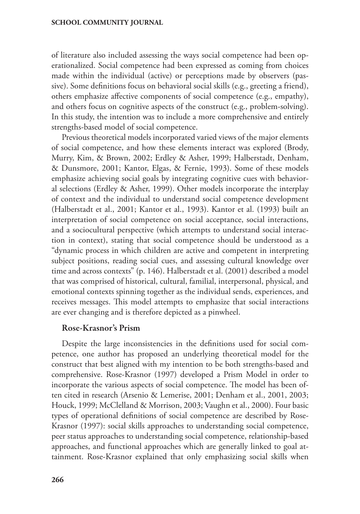of literature also included assessing the ways social competence had been operationalized. Social competence had been expressed as coming from choices made within the individual (active) or perceptions made by observers (passive). Some definitions focus on behavioral social skills (e.g., greeting a friend), others emphasize affective components of social competence (e.g., empathy), and others focus on cognitive aspects of the construct (e.g., problem-solving). In this study, the intention was to include a more comprehensive and entirely strengths-based model of social competence.

Previous theoretical models incorporated varied views of the major elements of social competence, and how these elements interact was explored (Brody, Murry, Kim, & Brown, 2002; Erdley & Asher, 1999; Halberstadt, Denham, & Dunsmore, 2001; Kantor, Elgas, & Fernie, 1993). Some of these models emphasize achieving social goals by integrating cognitive cues with behavioral selections (Erdley & Asher, 1999). Other models incorporate the interplay of context and the individual to understand social competence development (Halberstadt et al., 2001; Kantor et al., 1993). Kantor et al. (1993) built an interpretation of social competence on social acceptance, social interactions, and a sociocultural perspective (which attempts to understand social interaction in context), stating that social competence should be understood as a "dynamic process in which children are active and competent in interpreting subject positions, reading social cues, and assessing cultural knowledge over time and across contexts" (p. 146). Halberstadt et al. (2001) described a model that was comprised of historical, cultural, familial, interpersonal, physical, and emotional contexts spinning together as the individual sends, experiences, and receives messages. This model attempts to emphasize that social interactions are ever changing and is therefore depicted as a pinwheel.

#### Rose-Krasnor's Prism

Despite the large inconsistencies in the definitions used for social competence, one author has proposed an underlying theoretical model for the construct that best aligned with my intention to be both strengths-based and comprehensive. Rose-Krasnor (1997) developed a Prism Model in order to incorporate the various aspects of social competence. The model has been often cited in research (Arsenio & Lemerise, 2001; Denham et al., 2001, 2003; Houck, 1999; McClelland & Morrison, 2003; Vaughn et al., 2000). Four basic types of operational definitions of social competence are described by Rose-Krasnor (1997): social skills approaches to understanding social competence, peer status approaches to understanding social competence, relationship-based approaches, and functional approaches which are generally linked to goal attainment. Rose-Krasnor explained that only emphasizing social skills when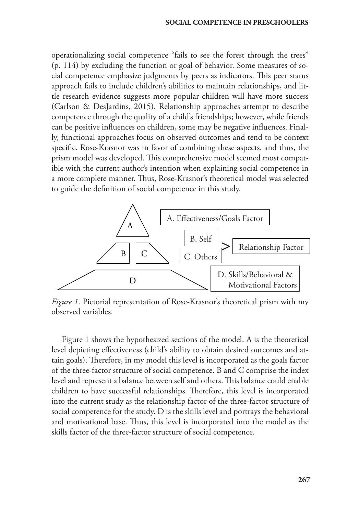operationalizing social competence "fails to see the forest through the trees" (p. 114) by excluding the function or goal of behavior. Some measures of social competence emphasize judgments by peers as indicators. This peer status approach fails to include children's abilities to maintain relationships, and little research evidence suggests more popular children will have more success (Carlson & DesJardins, 2015). Relationship approaches attempt to describe competence through the quality of a child's friendships; however, while friends can be positive influences on children, some may be negative influences. Finally, functional approaches focus on observed outcomes and tend to be context specific. Rose-Krasnor was in favor of combining these aspects, and thus, the prism model was developed. This comprehensive model seemed most compatible with the current author's intention when explaining social competence in a more complete manner. Thus, Rose-Krasnor's theoretical model was selected to guide the definition of social competence in this study.



*Figure 1*. Pictorial representation of Rose-Krasnor's theoretical prism with my observed variables.

Figure 1 shows the hypothesized sections of the model. A is the theoretical level depicting effectiveness (child's ability to obtain desired outcomes and attain goals). Therefore, in my model this level is incorporated as the goals factor of the three-factor structure of social competence. B and C comprise the index level and represent a balance between self and others. This balance could enable children to have successful relationships. Therefore, this level is incorporated into the current study as the relationship factor of the three-factor structure of social competence for the study. D is the skills level and portrays the behavioral and motivational base. Thus, this level is incorporated into the model as the skills factor of the three-factor structure of social competence.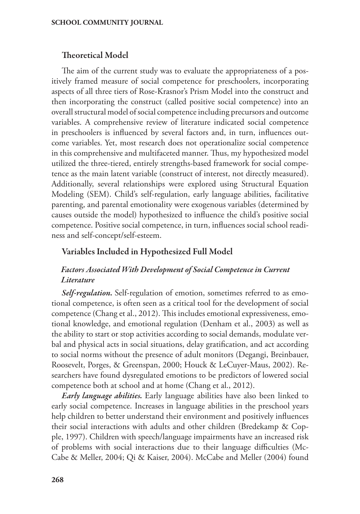### Theoretical Model

The aim of the current study was to evaluate the appropriateness of a positively framed measure of social competence for preschoolers, incorporating aspects of all three tiers of Rose-Krasnor's Prism Model into the construct and then incorporating the construct (called positive social competence) into an overall structural model of social competence including precursors and outcome variables. A comprehensive review of literature indicated social competence in preschoolers is influenced by several factors and, in turn, influences outcome variables. Yet, most research does not operationalize social competence in this comprehensive and multifaceted manner. Thus, my hypothesized model utilized the three-tiered, entirely strengths-based framework for social competence as the main latent variable (construct of interest, not directly measured). Additionally, several relationships were explored using Structural Equation Modeling (SEM). Child's self-regulation, early language abilities, facilitative parenting, and parental emotionality were exogenous variables (determined by causes outside the model) hypothesized to influence the child's positive social competence. Positive social competence, in turn, influences social school readiness and self-concept/self-esteem.

#### Variables Included in Hypothesized Full Model

# *Factors Associated With Development of Social Competence in Current Literature*

*Self-regulation.* Self-regulation of emotion, sometimes referred to as emotional competence, is often seen as a critical tool for the development of social competence (Chang et al., 2012). This includes emotional expressiveness, emotional knowledge, and emotional regulation (Denham et al., 2003) as well as the ability to start or stop activities according to social demands, modulate verbal and physical acts in social situations, delay gratification, and act according to social norms without the presence of adult monitors (Degangi, Breinbauer, Roosevelt, Porges, & Greenspan, 2000; Houck & LeCuyer-Maus, 2002). Researchers have found dysregulated emotions to be predictors of lowered social competence both at school and at home (Chang et al., 2012).

*Early language abilities.* Early language abilities have also been linked to early social competence. Increases in language abilities in the preschool years help children to better understand their environment and positively influences their social interactions with adults and other children (Bredekamp & Copple, 1997). Children with speech/language impairments have an increased risk of problems with social interactions due to their language difficulties (Mc-Cabe & Meller, 2004; Qi & Kaiser, 2004). McCabe and Meller (2004) found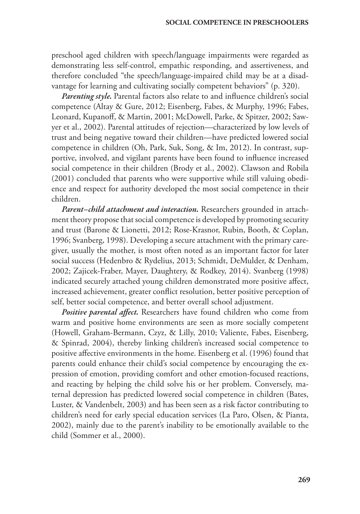preschool aged children with speech/language impairments were regarded as demonstrating less self-control, empathic responding, and assertiveness, and therefore concluded "the speech/language-impaired child may be at a disadvantage for learning and cultivating socially competent behaviors" (p. 320).

*Parenting style.* Parental factors also relate to and influence children's social competence (Altay & Gure, 2012; Eisenberg, Fabes, & Murphy, 1996; Fabes, Leonard, Kupanoff, & Martin, 2001; McDowell, Parke, & Spitzer, 2002; Sawyer et al., 2002). Parental attitudes of rejection—characterized by low levels of trust and being negative toward their children—have predicted lowered social competence in children (Oh, Park, Suk, Song, & Im, 2012). In contrast, supportive, involved, and vigilant parents have been found to influence increased social competence in their children (Brody et al., 2002). Clawson and Robila (2001) concluded that parents who were supportive while still valuing obedience and respect for authority developed the most social competence in their children.

*Parent–child attachment and interaction.* Researchers grounded in attachment theory propose that social competence is developed by promoting security and trust (Barone & Lionetti, 2012; Rose-Krasnor, Rubin, Booth, & Coplan, 1996; Svanberg, 1998). Developing a secure attachment with the primary caregiver, usually the mother, is most often noted as an important factor for later social success (Hedenbro & Rydelius, 2013; Schmidt, DeMulder, & Denham, 2002; Zajicek-Fraber, Mayer, Daughtery, & Rodkey, 2014). Svanberg (1998) indicated securely attached young children demonstrated more positive affect, increased achievement, greater conflict resolution, better positive perception of self, better social competence, and better overall school adjustment.

*Positive parental affect.* Researchers have found children who come from warm and positive home environments are seen as more socially competent (Howell, Graham-Bermann, Czyz, & Lilly, 2010; Valiente, Fabes, Eisenberg, & Spinrad, 2004), thereby linking children's increased social competence to positive affective environments in the home. Eisenberg et al. (1996) found that parents could enhance their child's social competence by encouraging the expression of emotion, providing comfort and other emotion-focused reactions, and reacting by helping the child solve his or her problem. Conversely, maternal depression has predicted lowered social competence in children (Bates, Luster, & Vandenbelt, 2003) and has been seen as a risk factor contributing to children's need for early special education services (La Paro, Olsen, & Pianta, 2002), mainly due to the parent's inability to be emotionally available to the child (Sommer et al., 2000).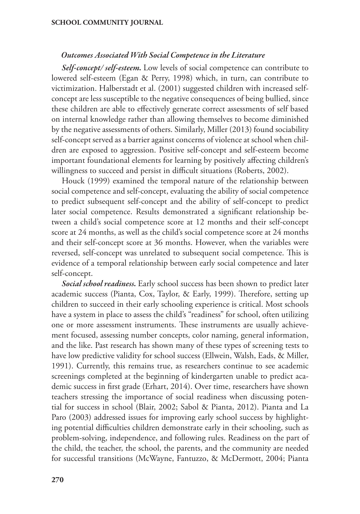#### *Outcomes Associated With Social Competence in the Literature*

*Self-concept/ self-esteem.* Low levels of social competence can contribute to lowered self-esteem (Egan & Perry, 1998) which, in turn, can contribute to victimization. Halberstadt et al. (2001) suggested children with increased selfconcept are less susceptible to the negative consequences of being bullied, since these children are able to effectively generate correct assessments of self based on internal knowledge rather than allowing themselves to become diminished by the negative assessments of others. Similarly, Miller (2013) found sociability self-concept served as a barrier against concerns of violence at school when children are exposed to aggression. Positive self-concept and self-esteem become important foundational elements for learning by positively affecting children's willingness to succeed and persist in difficult situations (Roberts, 2002).

Houck (1999) examined the temporal nature of the relationship between social competence and self-concept, evaluating the ability of social competence to predict subsequent self-concept and the ability of self-concept to predict later social competence. Results demonstrated a significant relationship between a child's social competence score at 12 months and their self-concept score at 24 months, as well as the child's social competence score at 24 months and their self-concept score at 36 months. However, when the variables were reversed, self-concept was unrelated to subsequent social competence. This is evidence of a temporal relationship between early social competence and later self-concept.

*Social school readiness.* Early school success has been shown to predict later academic success (Pianta, Cox, Taylor, & Early, 1999). Therefore, setting up children to succeed in their early schooling experience is critical. Most schools have a system in place to assess the child's "readiness" for school, often utilizing one or more assessment instruments. These instruments are usually achievement focused, assessing number concepts, color naming, general information, and the like. Past research has shown many of these types of screening tests to have low predictive validity for school success (Ellwein, Walsh, Eads, & Miller, 1991). Currently, this remains true, as researchers continue to see academic screenings completed at the beginning of kindergarten unable to predict academic success in first grade (Erhart, 2014). Over time, researchers have shown teachers stressing the importance of social readiness when discussing potential for success in school (Blair, 2002; Sabol & Pianta, 2012). Pianta and La Paro (2003) addressed issues for improving early school success by highlighting potential difficulties children demonstrate early in their schooling, such as problem-solving, independence, and following rules. Readiness on the part of the child, the teacher, the school, the parents, and the community are needed for successful transitions (McWayne, Fantuzzo, & McDermott, 2004; Pianta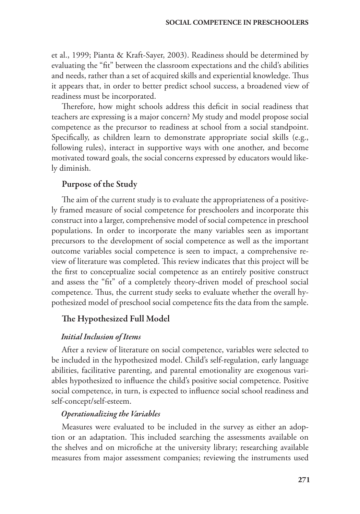et al., 1999; Pianta & Kraft-Sayer, 2003). Readiness should be determined by evaluating the "fit" between the classroom expectations and the child's abilities and needs, rather than a set of acquired skills and experiential knowledge. Thus it appears that, in order to better predict school success, a broadened view of readiness must be incorporated.

Therefore, how might schools address this deficit in social readiness that teachers are expressing is a major concern? My study and model propose social competence as the precursor to readiness at school from a social standpoint. Specifically, as children learn to demonstrate appropriate social skills (e.g., following rules), interact in supportive ways with one another, and become motivated toward goals, the social concerns expressed by educators would likely diminish.

# Purpose of the Study

The aim of the current study is to evaluate the appropriateness of a positively framed measure of social competence for preschoolers and incorporate this construct into a larger, comprehensive model of social competence in preschool populations. In order to incorporate the many variables seen as important precursors to the development of social competence as well as the important outcome variables social competence is seen to impact, a comprehensive review of literature was completed. This review indicates that this project will be the first to conceptualize social competence as an entirely positive construct and assess the "fit" of a completely theory-driven model of preschool social competence. Thus, the current study seeks to evaluate whether the overall hypothesized model of preschool social competence fits the data from the sample.

# The Hypothesized Full Model

## *Initial Inclusion of Items*

After a review of literature on social competence, variables were selected to be included in the hypothesized model. Child's self-regulation, early language abilities, facilitative parenting, and parental emotionality are exogenous variables hypothesized to influence the child's positive social competence. Positive social competence, in turn, is expected to influence social school readiness and self-concept/self-esteem.

## *Operationalizing the Variables*

Measures were evaluated to be included in the survey as either an adoption or an adaptation. This included searching the assessments available on the shelves and on microfiche at the university library; researching available measures from major assessment companies; reviewing the instruments used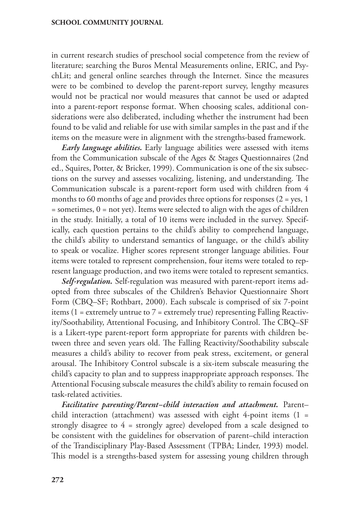in current research studies of preschool social competence from the review of literature; searching the Buros Mental Measurements online, ERIC, and PsychLit; and general online searches through the Internet. Since the measures were to be combined to develop the parent-report survey, lengthy measures would not be practical nor would measures that cannot be used or adapted into a parent-report response format. When choosing scales, additional considerations were also deliberated, including whether the instrument had been found to be valid and reliable for use with similar samples in the past and if the items on the measure were in alignment with the strengths-based framework.

*Early language abilities.* Early language abilities were assessed with items from the Communication subscale of the Ages & Stages Questionnaires (2nd ed., Squires, Potter, & Bricker, 1999). Communication is one of the six subsections on the survey and assesses vocalizing, listening, and understanding. The Communication subscale is a parent-report form used with children from 4 months to 60 months of age and provides three options for responses  $(2 = yes, 1)$  $=$  sometimes,  $0 =$  not yet). Items were selected to align with the ages of children in the study. Initially, a total of 10 items were included in the survey. Specifically, each question pertains to the child's ability to comprehend language, the child's ability to understand semantics of language, or the child's ability to speak or vocalize. Higher scores represent stronger language abilities. Four items were totaled to represent comprehension, four items were totaled to represent language production, and two items were totaled to represent semantics.

*Self-regulation.* Self-regulation was measured with parent-report items adopted from three subscales of the Children's Behavior Questionnaire Short Form (CBQ–SF; Rothbart, 2000). Each subscale is comprised of six 7-point items (1 = extremely untrue to 7 = extremely true) representing Falling Reactivity/Soothability, Attentional Focusing, and Inhibitory Control. The CBQ–SF is a Likert-type parent-report form appropriate for parents with children between three and seven years old. The Falling Reactivity/Soothability subscale measures a child's ability to recover from peak stress, excitement, or general arousal. The Inhibitory Control subscale is a six-item subscale measuring the child's capacity to plan and to suppress inappropriate approach responses. The Attentional Focusing subscale measures the child's ability to remain focused on task-related activities.

*Facilitative parenting/Parent–child interaction and attachment.* Parent– child interaction (attachment) was assessed with eight 4-point items  $(1 =$ strongly disagree to 4 = strongly agree) developed from a scale designed to be consistent with the guidelines for observation of parent–child interaction of the Trandisciplinary Play-Based Assessment (TPBA; Linder, 1993) model. This model is a strengths-based system for assessing young children through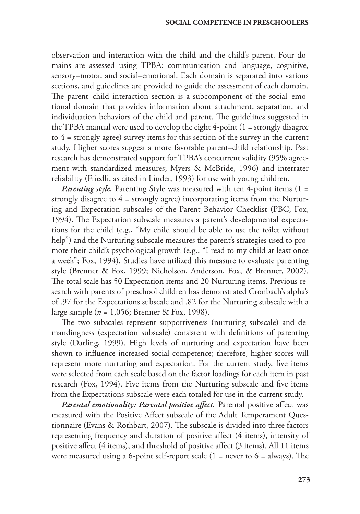observation and interaction with the child and the child's parent. Four domains are assessed using TPBA: communication and language, cognitive, sensory–motor, and social–emotional. Each domain is separated into various sections, and guidelines are provided to guide the assessment of each domain. The parent–child interaction section is a subcomponent of the social–emotional domain that provides information about attachment, separation, and individuation behaviors of the child and parent. The guidelines suggested in the TPBA manual were used to develop the eight 4-point (1 = strongly disagree to 4 = strongly agree) survey items for this section of the survey in the current study. Higher scores suggest a more favorable parent–child relationship. Past research has demonstrated support for TPBA's concurrent validity (95% agreement with standardized measures; Myers & McBride, 1996) and interrater reliability (Friedli, as cited in Linder, 1993) for use with young children.

*Parenting style*. Parenting Style was measured with ten 4-point items (1 = strongly disagree to 4 = strongly agree) incorporating items from the Nurturing and Expectation subscales of the Parent Behavior Checklist (PBC; Fox, 1994). The Expectation subscale measures a parent's developmental expectations for the child (e.g., "My child should be able to use the toilet without help") and the Nurturing subscale measures the parent's strategies used to promote their child's psychological growth (e.g., "I read to my child at least once a week"; Fox, 1994). Studies have utilized this measure to evaluate parenting style (Brenner & Fox, 1999; Nicholson, Anderson, Fox, & Brenner, 2002). The total scale has 50 Expectation items and 20 Nurturing items. Previous research with parents of preschool children has demonstrated Cronbach's alpha's of .97 for the Expectations subscale and .82 for the Nurturing subscale with a large sample (*n* = 1,056; Brenner & Fox, 1998).

The two subscales represent supportiveness (nurturing subscale) and demandingness (expectation subscale) consistent with definitions of parenting style (Darling, 1999). High levels of nurturing and expectation have been shown to influence increased social competence; therefore, higher scores will represent more nurturing and expectation. For the current study, five items were selected from each scale based on the factor loadings for each item in past research (Fox, 1994). Five items from the Nurturing subscale and five items from the Expectations subscale were each totaled for use in the current study.

*Parental emotionality: Parental positive affect.* Parental positive affect was measured with the Positive Affect subscale of the Adult Temperament Questionnaire (Evans & Rothbart, 2007). The subscale is divided into three factors representing frequency and duration of positive affect (4 items), intensity of positive affect (4 items), and threshold of positive affect (3 items). All 11 items were measured using a 6-point self-report scale  $(1 =$  never to  $6 =$  always). The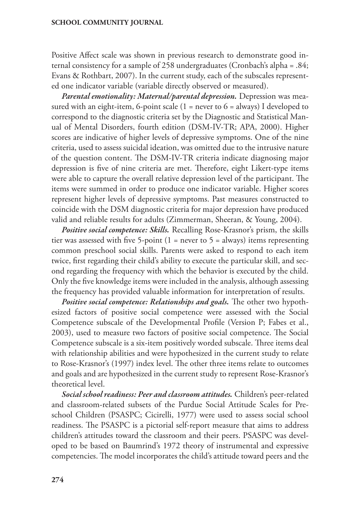Positive Affect scale was shown in previous research to demonstrate good internal consistency for a sample of 258 undergraduates (Cronbach's alpha = .84; Evans & Rothbart, 2007). In the current study, each of the subscales represented one indicator variable (variable directly observed or measured).

*Parental emotionality: Maternal/parental depression.* Depression was measured with an eight-item, 6-point scale  $(1 =$  never to  $6 =$  always) I developed to correspond to the diagnostic criteria set by the Diagnostic and Statistical Manual of Mental Disorders, fourth edition (DSM-IV-TR; APA, 2000). Higher scores are indicative of higher levels of depressive symptoms. One of the nine criteria, used to assess suicidal ideation, was omitted due to the intrusive nature of the question content. The DSM-IV-TR criteria indicate diagnosing major depression is five of nine criteria are met. Therefore, eight Likert-type items were able to capture the overall relative depression level of the participant. The items were summed in order to produce one indicator variable. Higher scores represent higher levels of depressive symptoms. Past measures constructed to coincide with the DSM diagnostic criteria for major depression have produced valid and reliable results for adults (Zimmerman, Sheeran, & Young, 2004).

*Positive social competence: Skills.* Recalling Rose-Krasnor's prism, the skills tier was assessed with five 5-point (1 = never to 5 = always) items representing common preschool social skills. Parents were asked to respond to each item twice, first regarding their child's ability to execute the particular skill, and second regarding the frequency with which the behavior is executed by the child. Only the five knowledge items were included in the analysis, although assessing the frequency has provided valuable information for interpretation of results.

*Positive social competence: Relationships and goals.* The other two hypothesized factors of positive social competence were assessed with the Social Competence subscale of the Developmental Profile (Version P; Fabes et al., 2003), used to measure two factors of positive social competence. The Social Competence subscale is a six-item positively worded subscale. Three items deal with relationship abilities and were hypothesized in the current study to relate to Rose-Krasnor's (1997) index level. The other three items relate to outcomes and goals and are hypothesized in the current study to represent Rose-Krasnor's theoretical level.

*Social school readiness: Peer and classroom attitudes.* Children's peer-related and classroom-related subsets of the Purdue Social Attitude Scales for Preschool Children (PSASPC; Cicirelli, 1977) were used to assess social school readiness. The PSASPC is a pictorial self-report measure that aims to address children's attitudes toward the classroom and their peers. PSASPC was developed to be based on Baumrind's 1972 theory of instrumental and expressive competencies. The model incorporates the child's attitude toward peers and the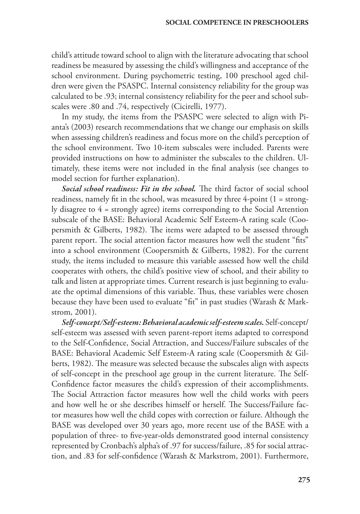child's attitude toward school to align with the literature advocating that school readiness be measured by assessing the child's willingness and acceptance of the school environment. During psychometric testing, 100 preschool aged children were given the PSASPC. Internal consistency reliability for the group was calculated to be .93; internal consistency reliability for the peer and school subscales were .80 and .74, respectively (Cicirelli, 1977).

In my study, the items from the PSASPC were selected to align with Pianta's (2003) research recommendations that we change our emphasis on skills when assessing children's readiness and focus more on the child's perception of the school environment. Two 10-item subscales were included. Parents were provided instructions on how to administer the subscales to the children. Ultimately, these items were not included in the final analysis (see changes to model section for further explanation).

*Social school readiness: Fit in the school.* The third factor of social school readiness, namely fit in the school, was measured by three 4-point (1 = strongly disagree to 4 = strongly agree) items corresponding to the Social Attention subscale of the BASE: Behavioral Academic Self Esteem-A rating scale (Coopersmith & Gilberts, 1982). The items were adapted to be assessed through parent report. The social attention factor measures how well the student "fits" into a school environment (Coopersmith & Gilberts, 1982). For the current study, the items included to measure this variable assessed how well the child cooperates with others, the child's positive view of school, and their ability to talk and listen at appropriate times. Current research is just beginning to evaluate the optimal dimensions of this variable. Thus, these variables were chosen because they have been used to evaluate "fit" in past studies (Warash & Markstrom, 2001).

*Self-concept/Self-esteem: Behavioral academic self-esteem scales.* Self-concept/ self-esteem was assessed with seven parent-report items adapted to correspond to the Self-Confidence, Social Attraction, and Success/Failure subscales of the BASE: Behavioral Academic Self Esteem-A rating scale (Coopersmith & Gilberts, 1982). The measure was selected because the subscales align with aspects of self-concept in the preschool age group in the current literature. The Self-Confidence factor measures the child's expression of their accomplishments. The Social Attraction factor measures how well the child works with peers and how well he or she describes himself or herself. The Success/Failure factor measures how well the child copes with correction or failure. Although the BASE was developed over 30 years ago, more recent use of the BASE with a population of three- to five-year-olds demonstrated good internal consistency represented by Cronbach's alpha's of .97 for success/failure, .85 for social attraction, and .83 for self-confidence (Warash & Markstrom, 2001). Furthermore,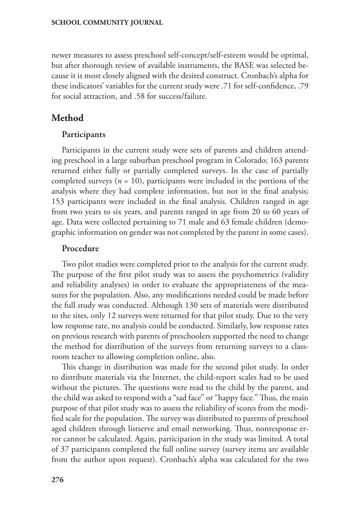newer measures to assess preschool self-concept/self-esteem would be optimal, but after thorough review of available instruments, the BASE was selected because it is most closely aligned with the desired construct. Cronbach's alpha for these indicators' variables for the current study were .71 for self-confidence, .79 for social attraction, and .58 for success/failure.

# **Method**

#### Participants

Participants in the current study were sets of parents and children attending preschool in a large suburban preschool program in Colorado; 163 parents returned either fully or partially completed surveys. In the case of partially completed surveys (*n* = 10), participants were included in the portions of the analysis where they had complete information, but not in the final analysis; 153 participants were included in the final analysis. Children ranged in age from two years to six years, and parents ranged in age from 20 to 60 years of age. Data were collected pertaining to 71 male and 63 female children (demographic information on gender was not completed by the parent in some cases).

#### Procedure

Two pilot studies were completed prior to the analysis for the current study. The purpose of the first pilot study was to assess the psychometrics (validity and reliability analyses) in order to evaluate the appropriateness of the measures for the population. Also, any modifications needed could be made before the full study was conducted. Although 130 sets of materials were distributed to the sites, only 12 surveys were returned for that pilot study. Due to the very low response rate, no analysis could be conducted. Similarly, low response rates on previous research with parents of preschoolers supported the need to change the method for distribution of the surveys from returning surveys to a classroom teacher to allowing completion online, also.

This change in distribution was made for the second pilot study. In order to distribute materials via the Internet, the child-report scales had to be used without the pictures. The questions were read to the child by the parent, and the child was asked to respond with a "sad face" or "happy face." Thus, the main purpose of that pilot study was to assess the reliability of scores from the modified scale for the population. The survey was distributed to parents of preschool aged children through listserve and email networking. Thus, nonresponse error cannot be calculated. Again, participation in the study was limited. A total of 37 participants completed the full online survey (survey items are available from the author upon request). Cronbach's alpha was calculated for the two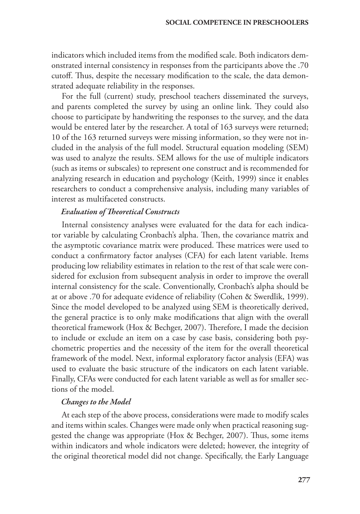indicators which included items from the modified scale. Both indicators demonstrated internal consistency in responses from the participants above the .70 cutoff. Thus, despite the necessary modification to the scale, the data demonstrated adequate reliability in the responses.

For the full (current) study, preschool teachers disseminated the surveys, and parents completed the survey by using an online link. They could also choose to participate by handwriting the responses to the survey, and the data would be entered later by the researcher. A total of 163 surveys were returned; 10 of the 163 returned surveys were missing information, so they were not included in the analysis of the full model. Structural equation modeling (SEM) was used to analyze the results. SEM allows for the use of multiple indicators (such as items or subscales) to represent one construct and is recommended for analyzing research in education and psychology (Keith, 1999) since it enables researchers to conduct a comprehensive analysis, including many variables of interest as multifaceted constructs.

#### *Evaluation of Theoretical Constructs*

Internal consistency analyses were evaluated for the data for each indicator variable by calculating Cronbach's alpha. Then, the covariance matrix and the asymptotic covariance matrix were produced. These matrices were used to conduct a confirmatory factor analyses (CFA) for each latent variable. Items producing low reliability estimates in relation to the rest of that scale were considered for exclusion from subsequent analysis in order to improve the overall internal consistency for the scale. Conventionally, Cronbach's alpha should be at or above .70 for adequate evidence of reliability (Cohen & Swerdlik, 1999). Since the model developed to be analyzed using SEM is theoretically derived, the general practice is to only make modifications that align with the overall theoretical framework (Hox & Bechger, 2007). Therefore, I made the decision to include or exclude an item on a case by case basis, considering both psychometric properties and the necessity of the item for the overall theoretical framework of the model. Next, informal exploratory factor analysis (EFA) was used to evaluate the basic structure of the indicators on each latent variable. Finally, CFAs were conducted for each latent variable as well as for smaller sections of the model.

#### *Changes to the Model*

At each step of the above process, considerations were made to modify scales and items within scales. Changes were made only when practical reasoning suggested the change was appropriate (Hox & Bechger, 2007). Thus, some items within indicators and whole indicators were deleted; however, the integrity of the original theoretical model did not change. Specifically, the Early Language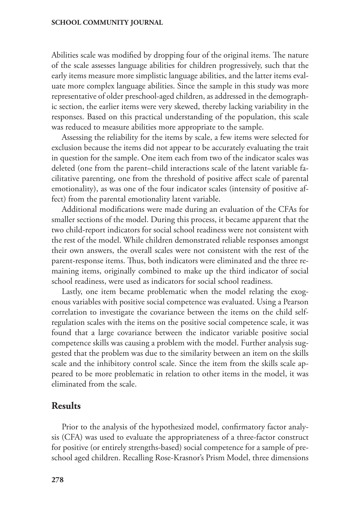Abilities scale was modified by dropping four of the original items. The nature of the scale assesses language abilities for children progressively, such that the early items measure more simplistic language abilities, and the latter items evaluate more complex language abilities. Since the sample in this study was more representative of older preschool-aged children, as addressed in the demographic section, the earlier items were very skewed, thereby lacking variability in the responses. Based on this practical understanding of the population, this scale was reduced to measure abilities more appropriate to the sample.

Assessing the reliability for the items by scale, a few items were selected for exclusion because the items did not appear to be accurately evaluating the trait in question for the sample. One item each from two of the indicator scales was deleted (one from the parent–child interactions scale of the latent variable facilitative parenting, one from the threshold of positive affect scale of parental emotionality), as was one of the four indicator scales (intensity of positive affect) from the parental emotionality latent variable.

Additional modifications were made during an evaluation of the CFAs for smaller sections of the model. During this process, it became apparent that the two child-report indicators for social school readiness were not consistent with the rest of the model. While children demonstrated reliable responses amongst their own answers, the overall scales were not consistent with the rest of the parent-response items. Thus, both indicators were eliminated and the three remaining items, originally combined to make up the third indicator of social school readiness, were used as indicators for social school readiness.

Lastly, one item became problematic when the model relating the exogenous variables with positive social competence was evaluated. Using a Pearson correlation to investigate the covariance between the items on the child selfregulation scales with the items on the positive social competence scale, it was found that a large covariance between the indicator variable positive social competence skills was causing a problem with the model. Further analysis suggested that the problem was due to the similarity between an item on the skills scale and the inhibitory control scale. Since the item from the skills scale appeared to be more problematic in relation to other items in the model, it was eliminated from the scale.

# **Results**

Prior to the analysis of the hypothesized model, confirmatory factor analysis (CFA) was used to evaluate the appropriateness of a three-factor construct for positive (or entirely strengths-based) social competence for a sample of preschool aged children. Recalling Rose-Krasnor's Prism Model, three dimensions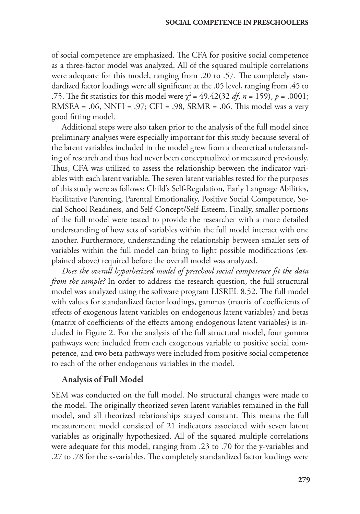of social competence are emphasized. The CFA for positive social competence as a three-factor model was analyzed. All of the squared multiple correlations were adequate for this model, ranging from .20 to .57. The completely standardized factor loadings were all significant at the .05 level, ranging from .45 to .75. The fit statistics for this model were  $\chi^2 = 49.42(32 \text{ df}, n = 159)$ ,  $p = .0001$ ; RMSEA = .06, NNFI = .97; CFI = .98, SRMR = .06. This model was a very good fitting model.

Additional steps were also taken prior to the analysis of the full model since preliminary analyses were especially important for this study because several of the latent variables included in the model grew from a theoretical understanding of research and thus had never been conceptualized or measured previously. Thus, CFA was utilized to assess the relationship between the indicator variables with each latent variable. The seven latent variables tested for the purposes of this study were as follows: Child's Self-Regulation, Early Language Abilities, Facilitative Parenting, Parental Emotionality, Positive Social Competence, Social School Readiness, and Self-Concept/Self-Esteem. Finally, smaller portions of the full model were tested to provide the researcher with a more detailed understanding of how sets of variables within the full model interact with one another. Furthermore, understanding the relationship between smaller sets of variables within the full model can bring to light possible modifications (explained above) required before the overall model was analyzed.

*Does the overall hypothesized model of preschool social competence fit the data from the sample?* In order to address the research question, the full structural model was analyzed using the software program LISREL 8.52. The full model with values for standardized factor loadings, gammas (matrix of coefficients of effects of exogenous latent variables on endogenous latent variables) and betas (matrix of coefficients of the effects among endogenous latent variables) is included in Figure 2. For the analysis of the full structural model, four gamma pathways were included from each exogenous variable to positive social competence, and two beta pathways were included from positive social competence to each of the other endogenous variables in the model.

#### Analysis of Full Model

SEM was conducted on the full model. No structural changes were made to the model. The originally theorized seven latent variables remained in the full model, and all theorized relationships stayed constant. This means the full measurement model consisted of 21 indicators associated with seven latent variables as originally hypothesized. All of the squared multiple correlations were adequate for this model, ranging from .23 to .70 for the y-variables and .27 to .78 for the x-variables. The completely standardized factor loadings were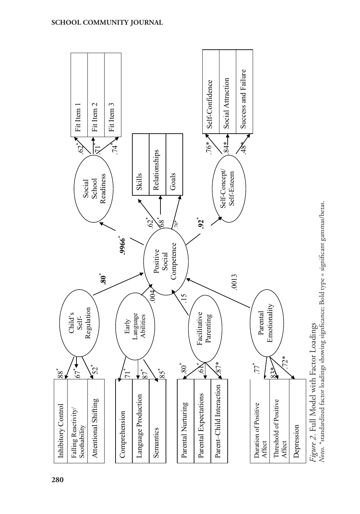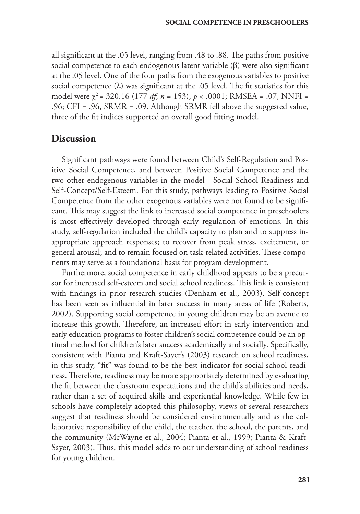all significant at the .05 level, ranging from .48 to .88. The paths from positive social competence to each endogenous latent variable (β) were also significant at the .05 level. One of the four paths from the exogenous variables to positive social competence  $(\lambda)$  was significant at the .05 level. The fit statistics for this model were  $\chi^2$  = 320.16 (177 *df*, *n* = 153), *p* < .0001; RMSEA = .07, NNFI = .96; CFI = .96, SRMR = .09. Although SRMR fell above the suggested value, three of the fit indices supported an overall good fitting model.

# **Discussion**

Significant pathways were found between Child's Self-Regulation and Positive Social Competence, and between Positive Social Competence and the two other endogenous variables in the model—Social School Readiness and Self-Concept/Self-Esteem. For this study, pathways leading to Positive Social Competence from the other exogenous variables were not found to be significant. This may suggest the link to increased social competence in preschoolers is most effectively developed through early regulation of emotions. In this study, self-regulation included the child's capacity to plan and to suppress inappropriate approach responses; to recover from peak stress, excitement, or general arousal; and to remain focused on task-related activities. These components may serve as a foundational basis for program development.

Furthermore, social competence in early childhood appears to be a precursor for increased self-esteem and social school readiness. This link is consistent with findings in prior research studies (Denham et al., 2003). Self-concept has been seen as influential in later success in many areas of life (Roberts, 2002). Supporting social competence in young children may be an avenue to increase this growth. Therefore, an increased effort in early intervention and early education programs to foster children's social competence could be an optimal method for children's later success academically and socially. Specifically, consistent with Pianta and Kraft-Sayer's (2003) research on school readiness, in this study, "fit" was found to be the best indicator for social school readiness. Therefore, readiness may be more appropriately determined by evaluating the fit between the classroom expectations and the child's abilities and needs, rather than a set of acquired skills and experiential knowledge. While few in schools have completely adopted this philosophy, views of several researchers suggest that readiness should be considered environmentally and as the collaborative responsibility of the child, the teacher, the school, the parents, and the community (McWayne et al., 2004; Pianta et al., 1999; Pianta & Kraft-Sayer, 2003). Thus, this model adds to our understanding of school readiness for young children.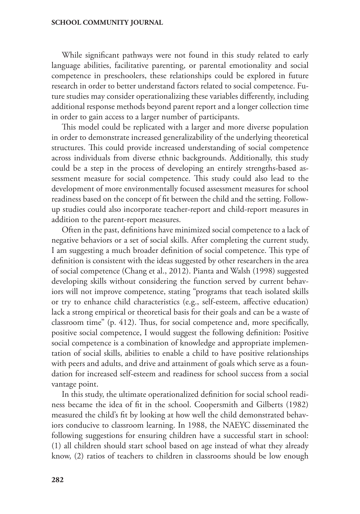While significant pathways were not found in this study related to early language abilities, facilitative parenting, or parental emotionality and social competence in preschoolers, these relationships could be explored in future research in order to better understand factors related to social competence. Future studies may consider operationalizing these variables differently, including additional response methods beyond parent report and a longer collection time in order to gain access to a larger number of participants.

This model could be replicated with a larger and more diverse population in order to demonstrate increased generalizability of the underlying theoretical structures. This could provide increased understanding of social competence across individuals from diverse ethnic backgrounds. Additionally, this study could be a step in the process of developing an entirely strengths-based assessment measure for social competence. This study could also lead to the development of more environmentally focused assessment measures for school readiness based on the concept of fit between the child and the setting. Followup studies could also incorporate teacher-report and child-report measures in addition to the parent-report measures.

Often in the past, definitions have minimized social competence to a lack of negative behaviors or a set of social skills. After completing the current study, I am suggesting a much broader definition of social competence. This type of definition is consistent with the ideas suggested by other researchers in the area of social competence (Chang et al., 2012). Pianta and Walsh (1998) suggested developing skills without considering the function served by current behaviors will not improve competence, stating "programs that teach isolated skills or try to enhance child characteristics (e.g., self-esteem, affective education) lack a strong empirical or theoretical basis for their goals and can be a waste of classroom time" (p. 412). Thus, for social competence and, more specifically, positive social competence, I would suggest the following definition: Positive social competence is a combination of knowledge and appropriate implementation of social skills, abilities to enable a child to have positive relationships with peers and adults, and drive and attainment of goals which serve as a foundation for increased self-esteem and readiness for school success from a social vantage point.

In this study, the ultimate operationalized definition for social school readiness became the idea of fit in the school. Coopersmith and Gilberts (1982) measured the child's fit by looking at how well the child demonstrated behaviors conducive to classroom learning. In 1988, the NAEYC disseminated the following suggestions for ensuring children have a successful start in school: (1) all children should start school based on age instead of what they already know, (2) ratios of teachers to children in classrooms should be low enough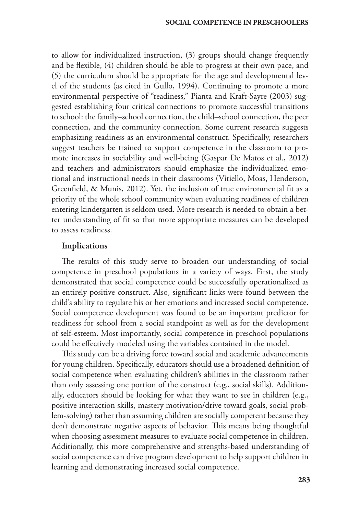to allow for individualized instruction, (3) groups should change frequently and be flexible, (4) children should be able to progress at their own pace, and (5) the curriculum should be appropriate for the age and developmental level of the students (as cited in Gullo, 1994). Continuing to promote a more environmental perspective of "readiness," Pianta and Kraft-Sayre (2003) suggested establishing four critical connections to promote successful transitions to school: the family–school connection, the child–school connection, the peer connection, and the community connection. Some current research suggests emphasizing readiness as an environmental construct. Specifically, researchers suggest teachers be trained to support competence in the classroom to promote increases in sociability and well-being (Gaspar De Matos et al., 2012) and teachers and administrators should emphasize the individualized emotional and instructional needs in their classrooms (Vitiello, Moas, Henderson, Greenfield, & Munis, 2012). Yet, the inclusion of true environmental fit as a priority of the whole school community when evaluating readiness of children entering kindergarten is seldom used. More research is needed to obtain a better understanding of fit so that more appropriate measures can be developed to assess readiness.

#### Implications

The results of this study serve to broaden our understanding of social competence in preschool populations in a variety of ways. First, the study demonstrated that social competence could be successfully operationalized as an entirely positive construct. Also, significant links were found between the child's ability to regulate his or her emotions and increased social competence. Social competence development was found to be an important predictor for readiness for school from a social standpoint as well as for the development of self-esteem. Most importantly, social competence in preschool populations could be effectively modeled using the variables contained in the model.

This study can be a driving force toward social and academic advancements for young children. Specifically, educators should use a broadened definition of social competence when evaluating children's abilities in the classroom rather than only assessing one portion of the construct (e.g., social skills). Additionally, educators should be looking for what they want to see in children (e.g., positive interaction skills, mastery motivation/drive toward goals, social problem-solving) rather than assuming children are socially competent because they don't demonstrate negative aspects of behavior. This means being thoughtful when choosing assessment measures to evaluate social competence in children. Additionally, this more comprehensive and strengths-based understanding of social competence can drive program development to help support children in learning and demonstrating increased social competence.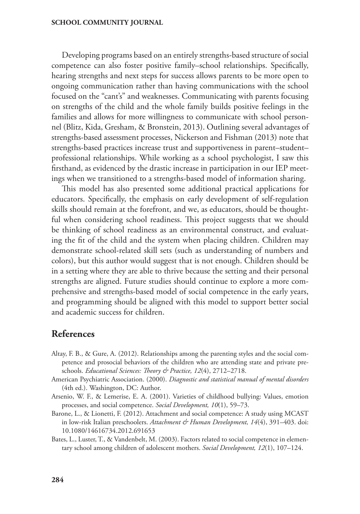Developing programs based on an entirely strengths-based structure of social competence can also foster positive family–school relationships. Specifically, hearing strengths and next steps for success allows parents to be more open to ongoing communication rather than having communications with the school focused on the "cant's" and weaknesses. Communicating with parents focusing on strengths of the child and the whole family builds positive feelings in the families and allows for more willingness to communicate with school personnel (Blitz, Kida, Gresham, & Bronstein, 2013). Outlining several advantages of strengths-based assessment processes, Nickerson and Fishman (2013) note that strengths-based practices increase trust and supportiveness in parent–student– professional relationships. While working as a school psychologist, I saw this firsthand, as evidenced by the drastic increase in participation in our IEP meetings when we transitioned to a strengths-based model of information sharing.

This model has also presented some additional practical applications for educators. Specifically, the emphasis on early development of self-regulation skills should remain at the forefront, and we, as educators, should be thoughtful when considering school readiness. This project suggests that we should be thinking of school readiness as an environmental construct, and evaluating the fit of the child and the system when placing children. Children may demonstrate school-related skill sets (such as understanding of numbers and colors), but this author would suggest that is not enough. Children should be in a setting where they are able to thrive because the setting and their personal strengths are aligned. Future studies should continue to explore a more comprehensive and strengths-based model of social competence in the early years, and programming should be aligned with this model to support better social and academic success for children.

# **References**

- Altay, F. B., & Gure, A. (2012). Relationships among the parenting styles and the social competence and prosocial behaviors of the children who are attending state and private preschools. *Educational Sciences: Theory & Practice, 12*(4), 2712–2718.
- American Psychiatric Association. (2000). *Diagnostic and statistical manual of mental disorders* (4th ed.). Washington, DC: Author.
- Arsenio, W. F., & Lemerise, E. A. (2001). Varieties of childhood bullying: Values, emotion processes, and social competence. *Social Development, 10*(1), 59–73.
- Barone, L., & Lionetti, F. (2012). Attachment and social competence: A study using MCAST in low-risk Italian preschoolers. *Attachment & Human Development, 14*(4), 391–403. doi: 10.1080/14616734.2012.691653
- Bates, L., Luster, T., & Vandenbelt, M. (2003). Factors related to social competence in elementary school among children of adolescent mothers. *Social Development, 12*(1), 107–124.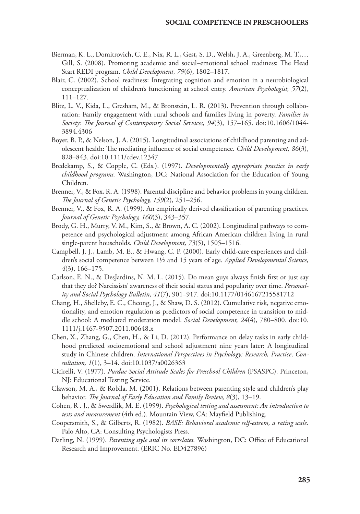- Bierman, K. L., Domitrovich, C. E., Nix, R. L., Gest, S. D., Welsh, J. A., Greenberg, M. T.,… Gill, S. (2008). Promoting academic and social–emotional school readiness: The Head Start REDI program. *Child Development, 79*(6), 1802–1817.
- Blair, C. (2002). School readiness: Integrating cognition and emotion in a neurobiological conceptualization of children's functioning at school entry. *American Psychologist, 57*(2), 111–127.
- Blitz, L. V., Kida, L., Gresham, M., & Bronstein, L. R. (2013). Prevention through collaboration: Family engagement with rural schools and families living in poverty. *Families in Society: The Journal of Contemporary Social Services, 94*(3), 157–165. doi:10.1606/1044- 3894.4306
- Boyer, B. P., & Nelson, J. A. (2015). Longitudinal associations of childhood parenting and adolescent health: The mediating influence of social competence. *Child Development, 86*(3), 828–843. doi:10.1111/cdev.12347
- Bredekamp, S., & Copple, C. (Eds.). (1997). *Developmentally appropriate practice in early childhood programs.* Washington, DC: National Association for the Education of Young Children.
- Brenner, V., & Fox, R. A. (1998). Parental discipline and behavior problems in young children. *The Journal of Genetic Psychology, 159*(2), 251–256.
- Brenner, V., & Fox, R. A. (1999). An empirically derived classification of parenting practices. *Journal of Genetic Psychology, 160*(3), 343–357.
- Brody, G. H., Murry, V. M., Kim, S., & Brown, A. C. (2002). Longitudinal pathways to competence and psychological adjustment among African American children living in rural single-parent households. *Child Development, 73*(5), 1505–1516.
- Campbell, J. J., Lamb, M. E., & Hwang, C. P. (2000). Early child-care experiences and children's social competence between 1½ and 15 years of age. *Applied Developmental Science, 4*(3), 166–175.
- Carlson, E. N., & DesJardins, N. M. L. (2015). Do mean guys always finish first or just say that they do? Narcissists' awareness of their social status and popularity over time. *Personality and Social Psychology Bulletin, 41*(7), 901–917. doi:10.1177/0146167215581712
- Chang, H., Shelleby, E. C., Cheong, J., & Shaw, D. S. (2012). Cumulative risk, negative emotionality, and emotion regulation as predictors of social competence in transition to middle school: A mediated moderation model. *Social Development, 24*(4), 780–800. doi:10. 1111/j.1467-9507.2011.00648.x
- Chen, X., Zhang, G., Chen, H., & Li, D. (2012). Performance on delay tasks in early childhood predicted socioemotional and school adjustment nine years later: A longitudinal study in Chinese children. *International Perspectives in Psychology: Research, Practice, Consultation, 1*(1), 3–14. doi:10.1037/a0026363
- Cicirelli, V. (1977). *Purdue Social Attitude Scales for Preschool Children* (PSASPC). Princeton, NJ: Educational Testing Service.
- Clawson, M. A., & Robila, M. (2001). Relations between parenting style and children's play behavior. *The Journal of Early Education and Family Review, 8*(3), 13–19.
- Cohen, R . J., & Swerdlik, M. E. (1999). *Psychological testing and assessment: An introduction to tests and measurement* (4th ed.)*.* Mountain View, CA: Mayfield Publishing.
- Coopersmith, S., & Gilberts, R. (1982). *BASE: Behavioral academic self-esteem, a rating scale.*  Palo Alto, CA: Consulting Psychologists Press.
- Darling, N. (1999). *Parenting style and its correlates.* Washington, DC: Office of Educational Research and Improvement. (ERIC No. ED427896)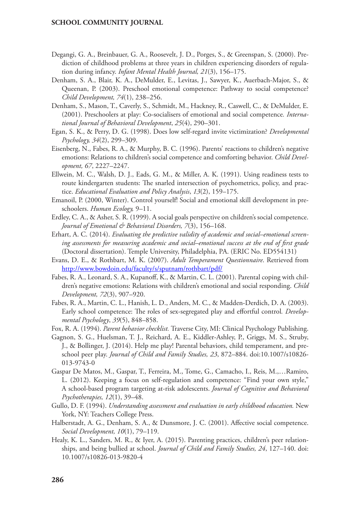- Degangi, G. A., Breinbauer, G. A., Roosevelt, J. D., Porges, S., & Greenspan, S. (2000). Prediction of childhood problems at three years in children experiencing disorders of regulation during infancy. *Infant Mental Health Journal, 21*(3), 156–175.
- Denham, S. A., Blair, K. A., DeMulder, E., Levitas, J., Sawyer, K., Auerbach-Major, S., & Queenan, P. (2003). Preschool emotional competence: Pathway to social competence? *Child Development, 74*(1), 238–256.
- Denham, S., Mason, T., Caverly, S., Schmidt, M., Hackney, R., Caswell, C., & DeMulder, E. (2001). Preschoolers at play: Co-socialisers of emotional and social competence*. International Journal of Behavioral Development*, *25*(4), 290–301.
- Egan, S. K., & Perry, D. G. (1998). Does low self-regard invite victimization? *Developmental Psychology, 34*(2), 299–309.
- Eisenberg, N., Fabes, R. A., & Murphy, B. C. (1996). Parents' reactions to children's negative emotions: Relations to children's social competence and comforting behavior. *Child Development, 67*, 2227–2247.
- Ellwein, M. C., Walsh, D. J., Eads, G. M., & Miller, A. K. (1991). Using readiness tests to route kindergarten students: The snarled intersection of psychometrics, policy, and practice. *Educational Evaluation and Policy Analysis*, *13*(2), 159–175.
- Emanoil, P. (2000, Winter). Control yourself! Social and emotional skill development in preschoolers. *Human Ecology,* 9–11.
- Erdley, C. A., & Asher, S. R. (1999). A social goals perspective on children's social competence. *Journal of Emotional & Behavioral Disorders, 7*(3), 156–168.
- Erhart, A. C. (2014). *Evaluating the predictive validity of academic and social–emotional screening assessments for measuring academic and social–emotional success at the end of first grade*  (Doctoral dissertation). Temple University, Philadelphia, PA. (ERIC No. ED554131)
- Evans, D. E., & Rothbart, M. K. (2007). *Adult Temperament Questionnaire*. Retrieved from <http://www.bowdoin.edu/faculty/s/sputnam/rothbart/pdf/>
- Fabes, R. A., Leonard, S. A., Kupanoff, K., & Martin, C. L. (2001). Parental coping with children's negative emotions: Relations with children's emotional and social responding. *Child Development, 72*(3), 907–920.
- Fabes, R. A., Martin, C. L., Hanish, L. D., Anders, M. C., & Madden-Derdich, D. A. (2003). Early school competence: The roles of sex-segregated play and effortful control*. Developmental Psychology*, *39*(5), 848–858.
- Fox, R. A. (1994). *Parent behavior checklist.* Traverse City, MI: Clinical Psychology Publishing.
- Gagnon, S. G., Huelsman, T. J., Reichard, A. E., Kiddler-Ashley, P., Griggs, M. S., Struby, J., & Bollinger, J. (2014). Help me play! Parental behaviors, child temperament, and preschool peer play. *Journal of Child and Family Studies, 23*, 872–884. doi:10.1007/s10826- 013-9743-0
- Gaspar De Matos, M., Gaspar, T., Ferreira, M., Tome, G., Camacho, I., Reis, M.,…Ramiro, L. (2012). Keeping a focus on self-regulation and competence: "Find your own style," A school-based program targeting at-risk adolescents. *Journal of Cognitive and Behavioral Psychotherapies, 12*(1), 39–48.
- Gullo, D. F. (1994). *Understanding assessment and evaluation in early childhood education.* New York, NY: Teachers College Press.
- Halberstadt, A. G., Denham, S. A., & Dunsmore, J. C. (2001). Affective social competence. *Social Development, 10*(1), 79–119.
- Healy, K. L., Sanders, M. R., & Iyer, A. (2015). Parenting practices, children's peer relationships, and being bullied at school. *Journal of Child and Family Studies, 24*, 127–140. doi: 10.1007/s10826-013-9820-4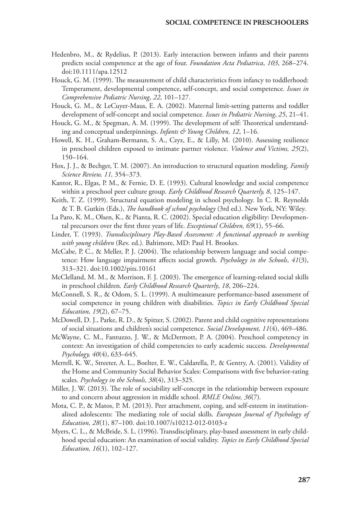- Hedenbro, M., & Rydelius, P. (2013). Early interaction between infants and their parents predicts social competence at the age of four. *Foundation Acta Pediatrica*, *103*, 268–274. doi:10.1111/apa.12512
- Houck, G. M. (1999). The measurement of child characteristics from infancy to toddlerhood: Temperament, developmental competence, self-concept, and social competence*. Issues in Comprehensive Pediatric Nursing*, *22*, 101–127.
- Houck, G. M., & LeCuyer-Maus, E. A. (2002). Maternal limit-setting patterns and toddler development of self-concept and social competence*. Issues in Pediatric Nursing*, *25*, 21–41.
- Houck, G. M., & Spegman, A. M. (1999). The development of self: Theoretical understanding and conceptual underpinnings. *Infants & Young Children, 12*, 1–16.
- Howell, K. H., Graham-Bermann, S. A., Czyz, E., & Lilly, M. (2010). Assessing resilience in preschool children exposed to intimate partner violence. *Violence and Victims, 25*(2), 150–164.
- Hox, J. J., & Bechger, T. M. (2007). An introduction to structural equation modeling. *Family Science Review, 11,* 354–373.
- Kantor, R., Elgas, P. M., & Fernie, D. E. (1993). Cultural knowledge and social competence within a preschool peer culture group. *Early Childhood Research Quarterly, 8*, 125–147.
- Keith, T. Z. (1999). Structural equation modeling in school psychology. In C. R. Reynolds & T. B. Gutkin (Eds.), *The handbook of school psychology* (3rd ed.)*.* New York, NY: Wiley.
- La Paro, K. M., Olsen, K., & Pianta, R. C. (2002). Special education eligibility: Developmental precursors over the first three years of life. *Exceptional Children, 69*(1), 55–66.
- Linder, T. (1993). *Transdisciplinary Play-Based Assessment: A functional approach to working with young children* (Rev. ed.)*.* Baltimore, MD: Paul H. Brookes.
- McCabe, P. C., & Meller, P. J. (2004). The relationship between language and social competence: How language impairment affects social growth*. Psychology in the Schools*, *41*(3), 313–321. doi:10.1002/pits.10161
- McClelland, M. M., & Morrison, F. J. (2003). The emergence of learning-related social skills in preschool children*. Early Childhood Research Quarterly*, *18*, 206–224.
- McConnell, S. R., & Odom, S. L. (1999). A multimeasure performance-based assessment of social competence in young children with disabilities. *Topics in Early Childhood Special Education, 19*(2), 67–75.
- McDowell, D. J., Parke, R. D., & Spitzer, S. (2002). Parent and child cognitive representations of social situations and children's social competence. *Social Development, 11*(4), 469–486.
- McWayne, C. M., Fantuzzo, J. W., & McDermott, P. A. (2004). Preschool competency in context: An investigation of child competencies to early academic success. *Developmental Psychology, 40*(4), 633–645.
- Merrell, K. W., Streeter, A. L., Boelter, E. W., Caldarella, P., & Gentry, A. (2001). Validity of the Home and Community Social Behavior Scales: Comparisons with five behavior-rating scales. *Psychology in the Schools, 38*(4), 313–325.
- Miller, J. W. (2013). The role of sociability self-concept in the relationship between exposure to and concern about aggression in middle school. *RMLE Online, 36*(7).
- Mota, C. P., & Matos, P. M. (2013). Peer attachment, coping, and self-esteem in institutionalized adolescents: The mediating role of social skills. *European Journal of Psychology of Education, 28*(1), 87–100. doi:10.1007/s10212-012-0103-z
- Myers, C. L., & McBride, S. L. (1996). Transdisciplinary, play-based assessment in early childhood special education: An examination of social validity. *Topics in Early Childhood Special Education, 16*(1), 102–127.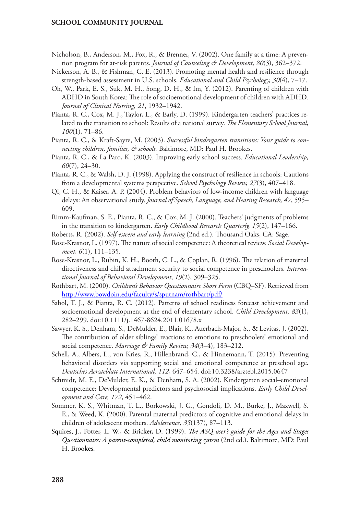- Nicholson, B., Anderson, M., Fox, R., & Brenner, V. (2002). One family at a time: A prevention program for at-risk parents. *Journal of Counseling & Development, 80*(3), 362–372.
- Nickerson, A. B., & Fishman, C. E. (2013). Promoting mental health and resilience through strength-based assessment in U.S. schools. *Educational and Child Psychology, 30*(4), 7–17.
- Oh, W., Park, E. S., Suk, M. H., Song, D. H., & Im, Y. (2012). Parenting of children with ADHD in South Korea: The role of socioemotional development of children with ADHD. *Journal of Clinical Nursing, 21*, 1932–1942.
- Pianta, R. C., Cox, M. J., Taylor, L., & Early, D. (1999). Kindergarten teachers' practices related to the transition to school: Results of a national survey. *The Elementary School Journal, 100*(1), 71–86.
- Pianta, R. C., & Kraft-Sayre, M. (2003). *Successful kindergarten transitions: Your guide to connecting children, families, & schools.* Baltimore, MD: Paul H. Brookes.
- Pianta, R. C., & La Paro, K. (2003). Improving early school success. *Educational Leadership, 60*(7), 24–30.
- Pianta, R. C., & Walsh, D. J. (1998). Applying the construct of resilience in schools: Cautions from a developmental systems perspective. *School Psychology Review, 27*(3), 407–418.
- Qi, C. H., & Kaiser, A. P. (2004). Problem behaviors of low-income children with language delays: An observational study. *Journal of Speech, Language, and Hearing Research, 47*, 595– 609.
- Rimm-Kaufman, S. E., Pianta, R. C., & Cox, M. J. (2000). Teachers' judgments of problems in the transition to kindergarten. *Early Childhood Research Quarterly, 15*(2), 147–166.
- Roberts, R. (2002). *Self-esteem and early learning* (2nd ed.)*.* Thousand Oaks, CA: Sage.
- Rose-Krasnor, L. (1997). The nature of social competence: A theoretical review. *Social Development, 6*(1), 111–135.
- Rose-Krasnor, L., Rubin, K. H., Booth, C. L., & Coplan, R. (1996). The relation of maternal directiveness and child attachment security to social competence in preschoolers. *International Journal of Behavioral Development*, *19*(2), 309–325.
- Rothbart, M. (2000). *Children's Behavior Questionnaire Short Form* (CBQ–SF). Retrieved from <http://www.bowdoin.edu/faculty/s/sputnam/rothbart/pdf/>
- Sabol, T. J., & Pianta, R. C. (2012). Patterns of school readiness forecast achievement and socioemotional development at the end of elementary school. *Child Development, 83*(1), 282–299. doi:10.1111/j.1467-8624.2011.01678.x
- Sawyer, K. S., Denham, S., DeMulder, E., Blair, K., Auerbach-Major, S., & Levitas, J. (2002). The contribution of older siblings' reactions to emotions to preschoolers' emotional and social competence. *Marriage & Family Review, 34*(3–4), 183–212.
- Schell, A., Albers, L., von Kries, R., Hillenbrand, C., & Hinnemann, T. (2015). Preventing behavioral disorders via supporting social and emotional competence at preschool age. *Deutsches Aerzteblatt International, 112*, 647–654. doi:10.3238/arztebl.2015.0647
- Schmidt, M. E., DeMulder, E. K., & Denham, S. A. (2002). Kindergarten social–emotional competence: Developmental predictors and psychosocial implications. *Early Child Development and Care, 172*, 451–462.
- Sommer, K. S., Whitman, T. L., Borkowski, J. G., Gondoli, D. M., Burke, J., Maxwell, S. E., & Weed, K. (2000). Parental maternal predictors of cognitive and emotional delays in children of adolescent mothers. *Adolescence, 35*(137), 87–113.
- Squires, J., Potter, L. W., & Bricker, D. (1999). *The ASQ user's guide for the Ages and Stages Questionnaire: A parent-completed, child monitoring system* (2nd ed.). Baltimore, MD: Paul H. Brookes.